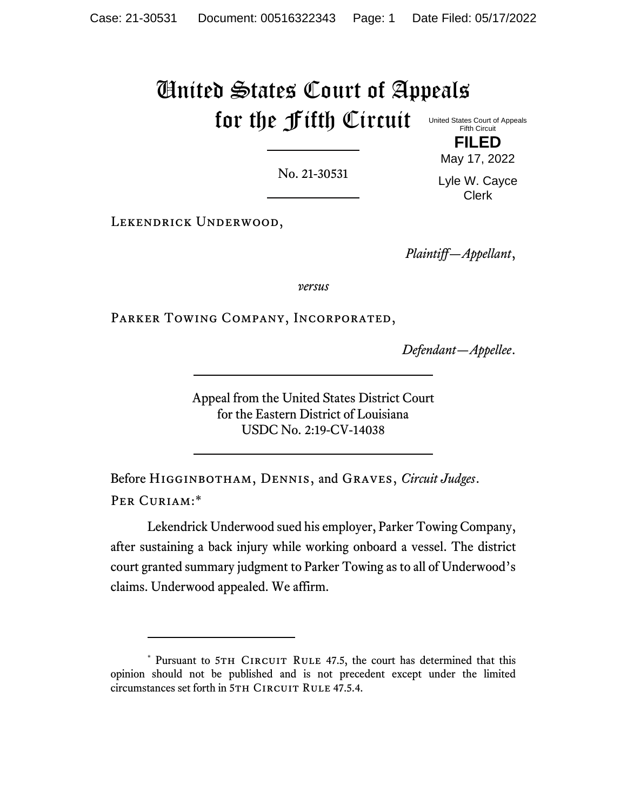# United States Court of Appeals for the Fifth Circuit United States Court of Appeals

No. 21-30531

Fifth Circuit **FILED**

May 17, 2022 Lyle W. Cayce

Clerk

Lekendrick Underwood,

*Plaintiff—Appellant*,

*versus*

Parker Towing Company, Incorporated,

*Defendant—Appellee*.

Appeal from the United States District Court for the Eastern District of Louisiana USDC No. 2:19-CV-14038

Before Higginbotham, Dennis, and Graves, *Circuit Judges*. PER CURIAM:\*

Lekendrick Underwood sued his employer, Parker Towing Company, after sustaining a back injury while working onboard a vessel. The district court granted summary judgment to Parker Towing as to all of Underwood's claims. Underwood appealed. We affirm.

<sup>\*</sup> Pursuant to 5TH CIRCUIT RULE 47.5, the court has determined that this opinion should not be published and is not precedent except under the limited circumstances set forth in 5TH CIRCUIT RULE 47.5.4.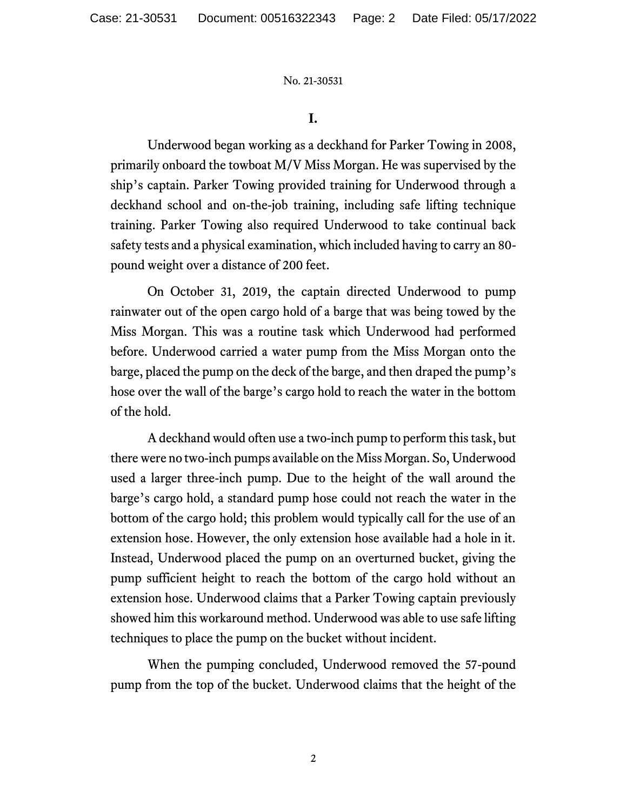## **I.**

Underwood began working as a deckhand for Parker Towing in 2008, primarily onboard the towboat M/V Miss Morgan. He was supervised by the ship's captain. Parker Towing provided training for Underwood through a deckhand school and on-the-job training, including safe lifting technique training. Parker Towing also required Underwood to take continual back safety tests and a physical examination, which included having to carry an 80 pound weight over a distance of 200 feet.

On October 31, 2019, the captain directed Underwood to pump rainwater out of the open cargo hold of a barge that was being towed by the Miss Morgan. This was a routine task which Underwood had performed before. Underwood carried a water pump from the Miss Morgan onto the barge, placed the pump on the deck of the barge, and then draped the pump's hose over the wall of the barge's cargo hold to reach the water in the bottom of the hold.

Adeckhand would often use a two-inch pump to perform this task, but there were no two-inch pumps available on the Miss Morgan. So, Underwood used a larger three-inch pump. Due to the height of the wall around the barge's cargo hold, a standard pump hose could not reach the water in the bottom of the cargo hold; this problem would typically call for the use of an extension hose. However, the only extension hose available had a hole in it. Instead, Underwood placed the pump on an overturned bucket, giving the pump sufficient height to reach the bottom of the cargo hold without an extension hose. Underwood claims that a Parker Towing captain previously showed him this workaround method. Underwood was able to use safe lifting techniques to place the pump on the bucket without incident.

When the pumping concluded, Underwood removed the 57-pound pump from the top of the bucket. Underwood claims that the height of the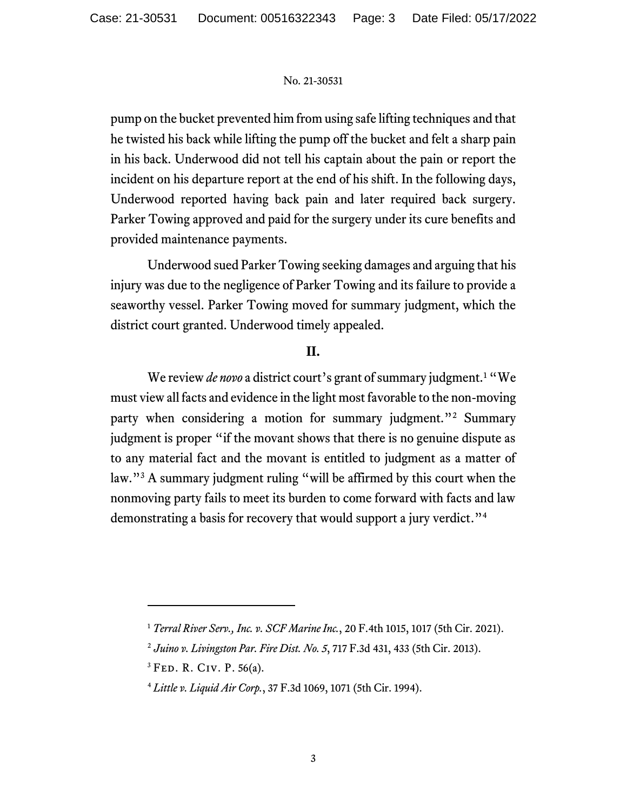pump on the bucket prevented him from using safe lifting techniques and that he twisted his back while lifting the pump off the bucket and felt a sharp pain in his back. Underwood did not tell his captain about the pain or report the incident on his departure report at the end of his shift. In the following days, Underwood reported having back pain and later required back surgery. Parker Towing approved and paid for the surgery under its cure benefits and provided maintenance payments.

Underwood sued Parker Towing seeking damages and arguing that his injury was due to the negligence of Parker Towing and its failure to provide a seaworthy vessel. Parker Towing moved for summary judgment, which the district court granted. Underwood timely appealed.

# **II.**

We review *de novo* a district court's grant of summary judgment.<sup>1</sup> "We must view all facts and evidence in the light most favorable to the non-moving party when considering a motion for summary judgment."<sup>2</sup> Summary judgment is proper "if the movant shows that there is no genuine dispute as to any material fact and the movant is entitled to judgment as a matter of law."<sup>3</sup> A summary judgment ruling "will be affirmed by this court when the nonmoving party fails to meet its burden to come forward with facts and law demonstrating a basis for recovery that would support a jury verdict."<sup>4</sup>

<sup>1</sup> *Terral River Serv., Inc. v. SCF Marine Inc.*, 20 F.4th 1015, 1017 (5th Cir. 2021).

<sup>2</sup> *Juino v. Livingston Par. Fire Dist. No. 5*, 717 F.3d 431, 433 (5th Cir. 2013).

<sup>3</sup> Fed. R. Civ. P. 56(a).

<sup>4</sup> *Little v. Liquid Air Corp.*, 37 F.3d 1069, 1071 (5th Cir. 1994).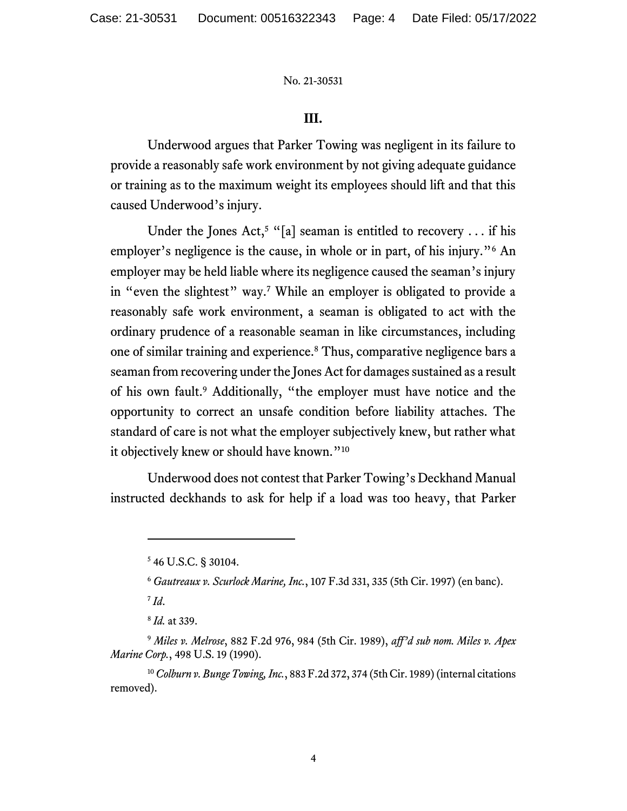### **III.**

Underwood argues that Parker Towing was negligent in its failure to provide a reasonably safe work environment by not giving adequate guidance or training as to the maximum weight its employees should lift and that this caused Underwood's injury.

Under the Jones Act,<sup>5</sup> "[a] seaman is entitled to recovery ... if his employer's negligence is the cause, in whole or in part, of his injury."<sup>6</sup> An employer may be held liable where its negligence caused the seaman's injury in "even the slightest" way.<sup>7</sup> While an employer is obligated to provide a reasonably safe work environment, a seaman is obligated to act with the ordinary prudence of a reasonable seaman in like circumstances, including one of similar training and experience.<sup>8</sup> Thus, comparative negligence bars a seaman from recovering under the Jones Act for damages sustained as a result of his own fault.<sup>9</sup> Additionally, "the employer must have notice and the opportunity to correct an unsafe condition before liability attaches. The standard of care is not what the employer subjectively knew, but rather what it objectively knew or should have known."<sup>10</sup>

Underwood does not contest that Parker Towing's Deckhand Manual instructed deckhands to ask for help if a load was too heavy, that Parker

7 *Id*.

<sup>5</sup> 46 U.S.C. § 30104.

<sup>6</sup> *Gautreaux v. Scurlock Marine, Inc.*, 107 F.3d 331, 335 (5th Cir. 1997) (en banc).

<sup>8</sup> *Id.* at 339.

<sup>9</sup> *Miles v. Melrose*, 882 F.2d 976, 984 (5th Cir. 1989), *aff'd sub nom. Miles v. Apex Marine Corp.*, 498 U.S. 19 (1990).

<sup>10</sup>*Colburn v. Bunge Towing, Inc.*, 883 F.2d 372, 374 (5th Cir. 1989) (internal citations removed).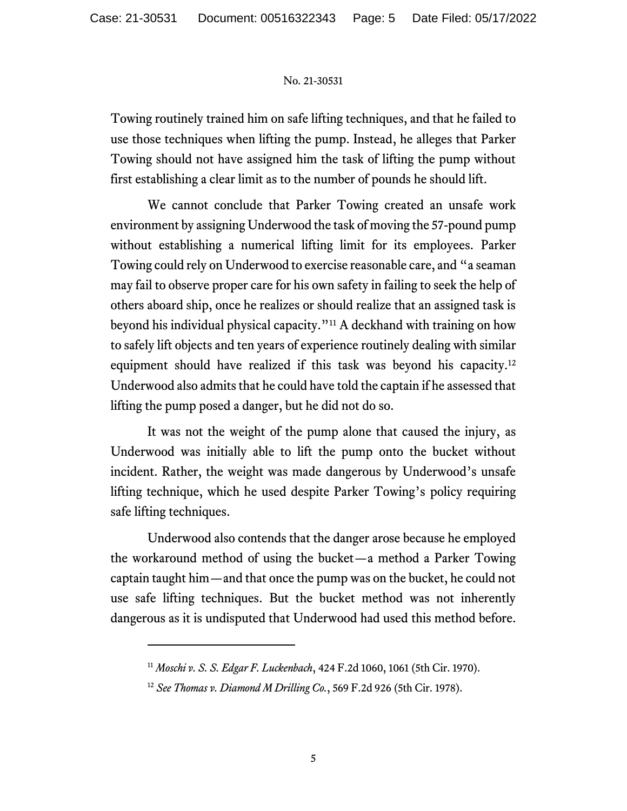Towing routinely trained him on safe lifting techniques, and that he failed to use those techniques when lifting the pump. Instead, he alleges that Parker Towing should not have assigned him the task of lifting the pump without first establishing a clear limit as to the number of pounds he should lift.

We cannot conclude that Parker Towing created an unsafe work environment by assigning Underwood the task of moving the 57-pound pump without establishing a numerical lifting limit for its employees. Parker Towing could rely on Underwood to exercise reasonable care, and "a seaman may fail to observe proper care for his own safety in failing to seek the help of others aboard ship, once he realizes or should realize that an assigned task is beyond his individual physical capacity."<sup>11</sup> A deckhand with training on how to safely lift objects and ten years of experience routinely dealing with similar equipment should have realized if this task was beyond his capacity.<sup>12</sup> Underwood also admits that he could have told the captain if he assessed that lifting the pump posed a danger, but he did not do so.

It was not the weight of the pump alone that caused the injury, as Underwood was initially able to lift the pump onto the bucket without incident. Rather, the weight was made dangerous by Underwood's unsafe lifting technique, which he used despite Parker Towing's policy requiring safe lifting techniques.

Underwood also contends that the danger arose because he employed the workaround method of using the bucket—a method a Parker Towing captain taught him—and that once the pump was on the bucket, he could not use safe lifting techniques. But the bucket method was not inherently dangerous as it is undisputed that Underwood had used this method before.

<sup>11</sup> *Moschi v. S. S. Edgar F. Luckenbach*, 424 F.2d 1060, 1061 (5th Cir. 1970).

<sup>12</sup> *See Thomas v. Diamond M Drilling Co.*, 569 F.2d 926 (5th Cir. 1978).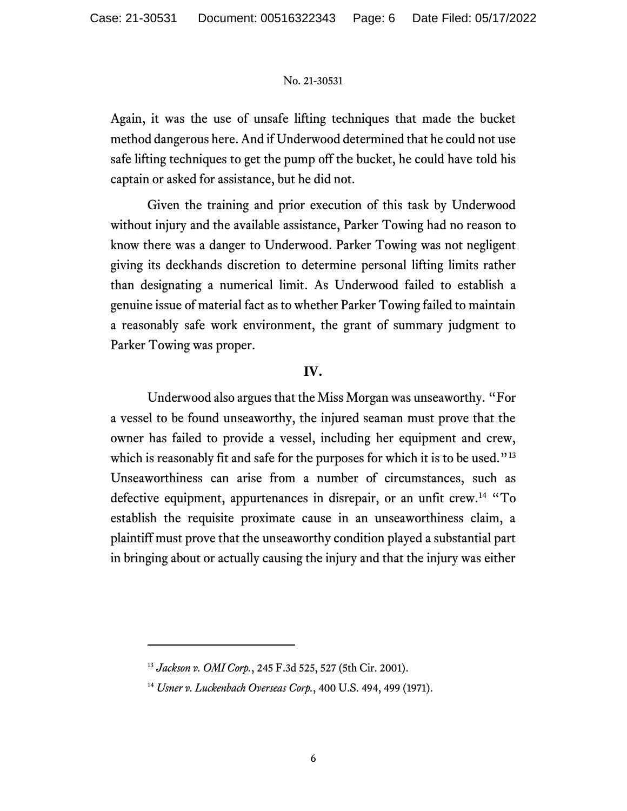Again, it was the use of unsafe lifting techniques that made the bucket method dangerous here. And if Underwood determined that he could not use safe lifting techniques to get the pump off the bucket, he could have told his captain or asked for assistance, but he did not.

Given the training and prior execution of this task by Underwood without injury and the available assistance, Parker Towing had no reason to know there was a danger to Underwood. Parker Towing was not negligent giving its deckhands discretion to determine personal lifting limits rather than designating a numerical limit. As Underwood failed to establish a genuine issue of material fact as to whether Parker Towing failed to maintain a reasonably safe work environment, the grant of summary judgment to Parker Towing was proper.

## **IV.**

Underwood also argues that the Miss Morgan was unseaworthy. "For a vessel to be found unseaworthy, the injured seaman must prove that the owner has failed to provide a vessel, including her equipment and crew, which is reasonably fit and safe for the purposes for which it is to be used.<sup>"13</sup> Unseaworthiness can arise from a number of circumstances, such as defective equipment, appurtenances in disrepair, or an unfit crew.<sup>14</sup> "To establish the requisite proximate cause in an unseaworthiness claim, a plaintiff must prove that the unseaworthy condition played a substantial part in bringing about or actually causing the injury and that the injury was either

<sup>13</sup> *Jackson v. OMI Corp.*, 245 F.3d 525, 527 (5th Cir. 2001).

<sup>14</sup> *Usner v. Luckenbach Overseas Corp.*, 400 U.S. 494, 499 (1971).